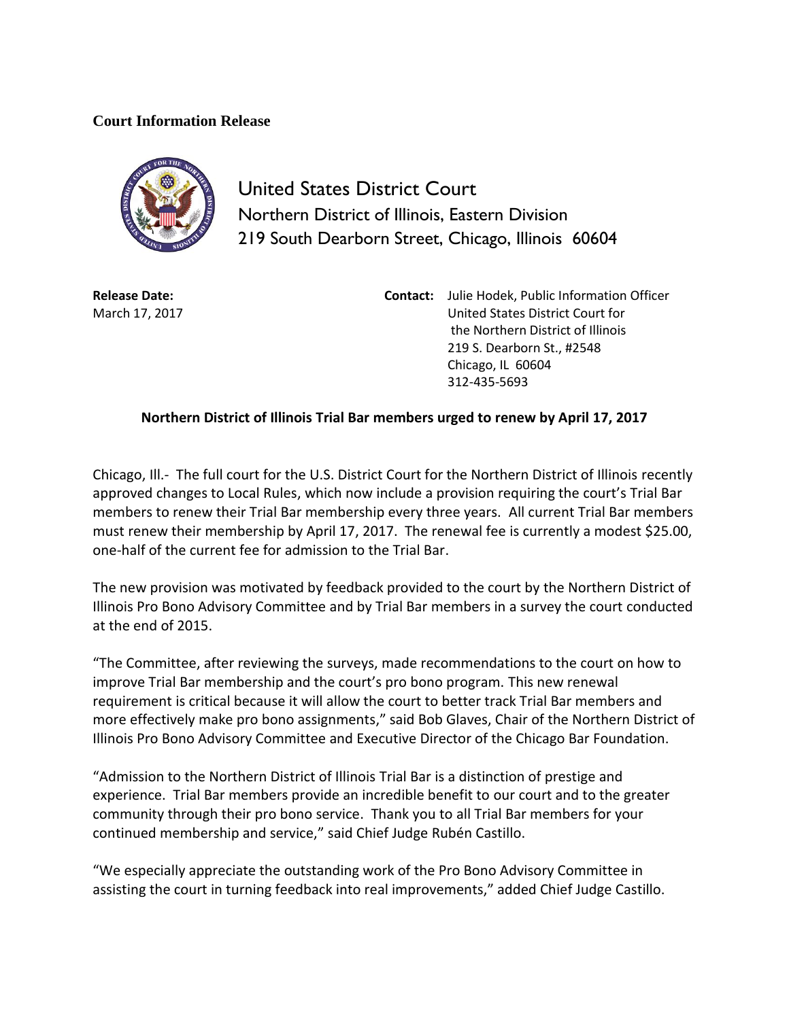## **Court Information Release**



United States District Court Northern District of Illinois, Eastern Division 219 South Dearborn Street, Chicago, Illinois 60604

**Release Date:** March 17, 2017 **Contact:** Julie Hodek, Public Information Officer United States District Court for the Northern District of Illinois 219 S. Dearborn St., #2548 Chicago, IL 60604 312-435-5693

## **Northern District of Illinois Trial Bar members urged to renew by April 17, 2017**

Chicago, Ill.- The full court for the U.S. District Court for the Northern District of Illinois recently approved changes to Local Rules, which now include a provision requiring the court's Trial Bar members to renew their Trial Bar membership every three years. All current Trial Bar members must renew their membership by April 17, 2017. The renewal fee is currently a modest \$25.00, one-half of the current fee for admission to the Trial Bar.

The new provision was motivated by feedback provided to the court by the Northern District of Illinois Pro Bono Advisory Committee and by Trial Bar members in a survey the court conducted at the end of 2015.

"The Committee, after reviewing the surveys, made recommendations to the court on how to improve Trial Bar membership and the court's pro bono program. This new renewal requirement is critical because it will allow the court to better track Trial Bar members and more effectively make pro bono assignments," said Bob Glaves, Chair of the Northern District of Illinois Pro Bono Advisory Committee and Executive Director of the Chicago Bar Foundation.

"Admission to the Northern District of Illinois Trial Bar is a distinction of prestige and experience. Trial Bar members provide an incredible benefit to our court and to the greater community through their pro bono service. Thank you to all Trial Bar members for your continued membership and service," said Chief Judge Rubén Castillo.

"We especially appreciate the outstanding work of the Pro Bono Advisory Committee in assisting the court in turning feedback into real improvements," added Chief Judge Castillo.